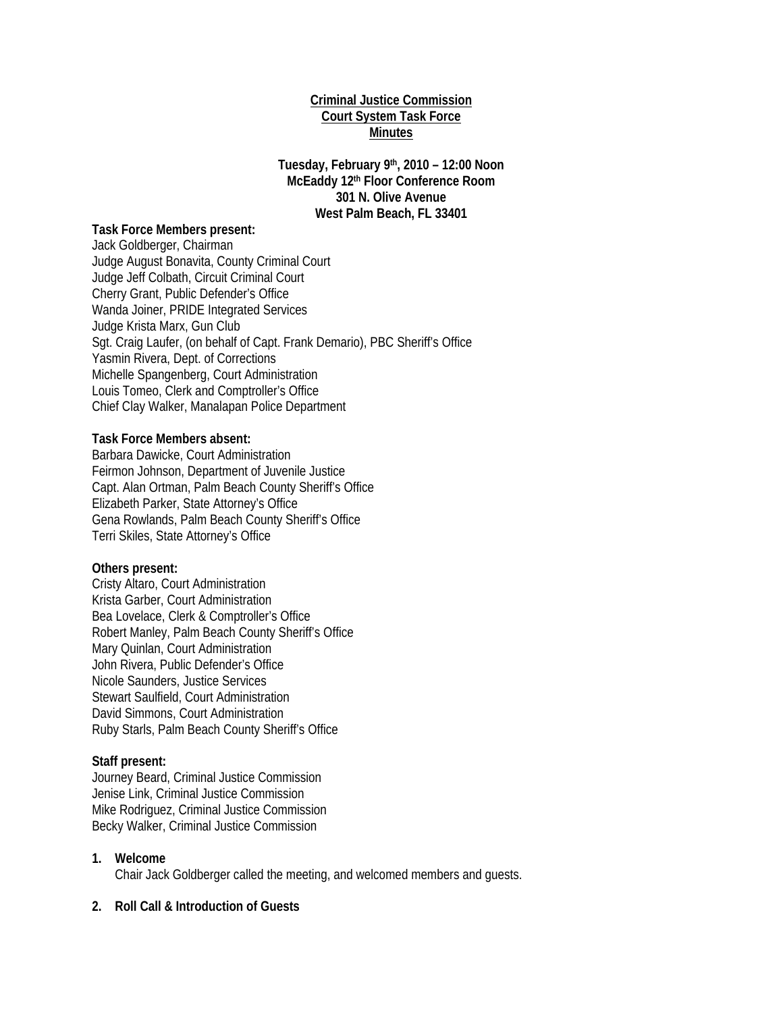### **Criminal Justice Commission Court System Task Force Minutes**

**Tuesday, February 9th, 2010 – 12:00 Noon McEaddy 12th Floor Conference Room 301 N. Olive Avenue West Palm Beach, FL 33401** 

#### **Task Force Members present:**

Jack Goldberger, Chairman Judge August Bonavita, County Criminal Court Judge Jeff Colbath, Circuit Criminal Court Cherry Grant, Public Defender's Office Wanda Joiner, PRIDE Integrated Services Judge Krista Marx, Gun Club Sgt. Craig Laufer, (on behalf of Capt. Frank Demario), PBC Sheriff's Office Yasmin Rivera, Dept. of Corrections Michelle Spangenberg, Court Administration Louis Tomeo, Clerk and Comptroller's Office Chief Clay Walker, Manalapan Police Department

### **Task Force Members absent:**

Barbara Dawicke, Court Administration Feirmon Johnson, Department of Juvenile Justice Capt. Alan Ortman, Palm Beach County Sheriff's Office Elizabeth Parker, State Attorney's Office Gena Rowlands, Palm Beach County Sheriff's Office Terri Skiles, State Attorney's Office

#### **Others present:**

Cristy Altaro, Court Administration Krista Garber, Court Administration Bea Lovelace, Clerk & Comptroller's Office Robert Manley, Palm Beach County Sheriff's Office Mary Quinlan, Court Administration John Rivera, Public Defender's Office Nicole Saunders, Justice Services Stewart Saulfield, Court Administration David Simmons, Court Administration Ruby Starls, Palm Beach County Sheriff's Office

#### **Staff present:**

Journey Beard, Criminal Justice Commission Jenise Link, Criminal Justice Commission Mike Rodriguez, Criminal Justice Commission Becky Walker, Criminal Justice Commission

#### **1. Welcome**

Chair Jack Goldberger called the meeting, and welcomed members and guests.

#### **2. Roll Call & Introduction of Guests**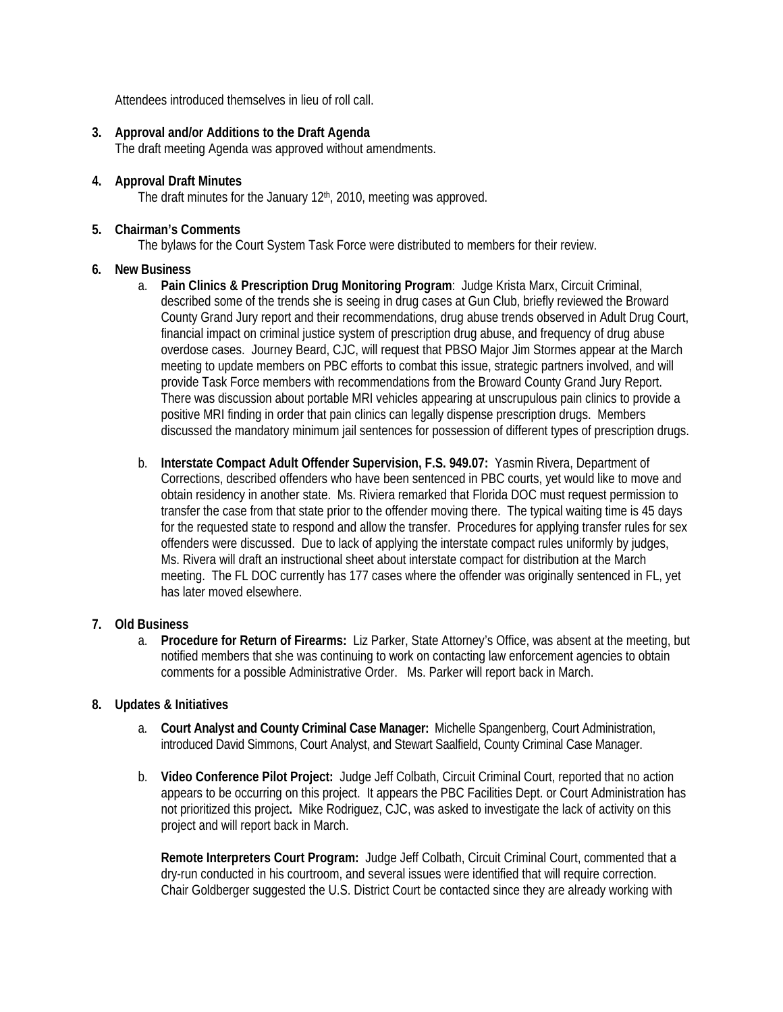Attendees introduced themselves in lieu of roll call.

**3. Approval and/or Additions to the Draft Agenda** 

The draft meeting Agenda was approved without amendments.

- **4. Approval Draft Minutes**  The draft minutes for the January  $12<sup>th</sup>$ , 2010, meeting was approved.
	-
- **5. Chairman's Comments**

The bylaws for the Court System Task Force were distributed to members for their review.

## **6. New Business**

- a. **Pain Clinics & Prescription Drug Monitoring Program**: Judge Krista Marx, Circuit Criminal, described some of the trends she is seeing in drug cases at Gun Club, briefly reviewed the Broward County Grand Jury report and their recommendations, drug abuse trends observed in Adult Drug Court, financial impact on criminal justice system of prescription drug abuse, and frequency of drug abuse overdose cases. Journey Beard, CJC, will request that PBSO Major Jim Stormes appear at the March meeting to update members on PBC efforts to combat this issue, strategic partners involved, and will provide Task Force members with recommendations from the Broward County Grand Jury Report. There was discussion about portable MRI vehicles appearing at unscrupulous pain clinics to provide a positive MRI finding in order that pain clinics can legally dispense prescription drugs. Members discussed the mandatory minimum jail sentences for possession of different types of prescription drugs.
- b. **Interstate Compact Adult Offender Supervision, F.S. 949.07:** Yasmin Rivera, Department of Corrections, described offenders who have been sentenced in PBC courts, yet would like to move and obtain residency in another state. Ms. Riviera remarked that Florida DOC must request permission to transfer the case from that state prior to the offender moving there. The typical waiting time is 45 days for the requested state to respond and allow the transfer. Procedures for applying transfer rules for sex offenders were discussed. Due to lack of applying the interstate compact rules uniformly by judges, Ms. Rivera will draft an instructional sheet about interstate compact for distribution at the March meeting. The FL DOC currently has 177 cases where the offender was originally sentenced in FL, yet has later moved elsewhere.

### **7. Old Business**

a. **Procedure for Return of Firearms:** Liz Parker, State Attorney's Office, was absent at the meeting, but notified members that she was continuing to work on contacting law enforcement agencies to obtain comments for a possible Administrative Order. Ms. Parker will report back in March.

### **8. Updates & Initiatives**

- a. **Court Analyst and County Criminal Case Manager:** Michelle Spangenberg, Court Administration, introduced David Simmons, Court Analyst, and Stewart Saalfield, County Criminal Case Manager.
- b. **Video Conference Pilot Project:** Judge Jeff Colbath, Circuit Criminal Court, reported that no action appears to be occurring on this project.It appears the PBC Facilities Dept. or Court Administration has not prioritized this project**.** Mike Rodriguez, CJC, was asked to investigate the lack of activity on this project and will report back in March.

**Remote Interpreters Court Program:** Judge Jeff Colbath, Circuit Criminal Court, commented that a dry-run conducted in his courtroom, and several issues were identified that will require correction. Chair Goldberger suggested the U.S. District Court be contacted since they are already working with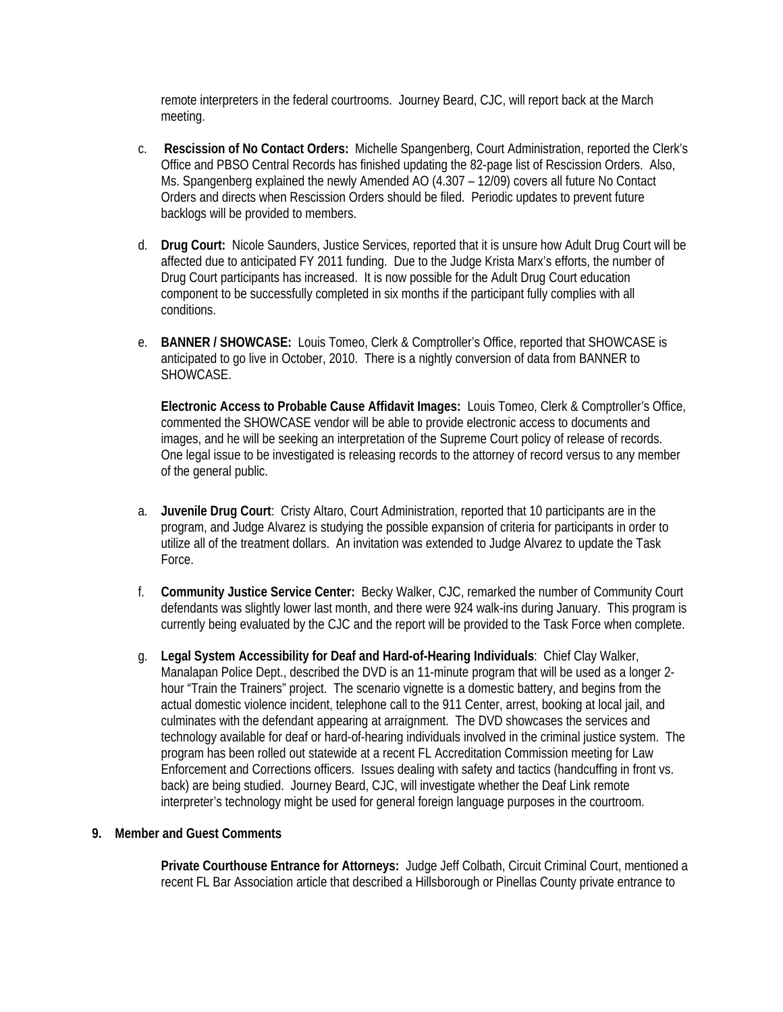remote interpreters in the federal courtrooms. Journey Beard, CJC, will report back at the March meeting.

- c. **Rescission of No Contact Orders:** Michelle Spangenberg, Court Administration, reported the Clerk's Office and PBSO Central Records has finished updating the 82-page list of Rescission Orders. Also, Ms. Spangenberg explained the newly Amended AO (4.307 – 12/09) covers all future No Contact Orders and directs when Rescission Orders should be filed. Periodic updates to prevent future backlogs will be provided to members.
- d. **Drug Court:** Nicole Saunders, Justice Services, reported that it is unsure how Adult Drug Court will be affected due to anticipated FY 2011 funding. Due to the Judge Krista Marx's efforts, the number of Drug Court participants has increased. It is now possible for the Adult Drug Court education component to be successfully completed in six months if the participant fully complies with all conditions.
- e. **BANNER / SHOWCASE:** Louis Tomeo, Clerk & Comptroller's Office, reported that SHOWCASE is anticipated to go live in October, 2010. There is a nightly conversion of data from BANNER to SHOWCASE.

**Electronic Access to Probable Cause Affidavit Images:** Louis Tomeo, Clerk & Comptroller's Office, commented the SHOWCASE vendor will be able to provide electronic access to documents and images, and he will be seeking an interpretation of the Supreme Court policy of release of records. One legal issue to be investigated is releasing records to the attorney of record versus to any member of the general public.

- a. **Juvenile Drug Court**: Cristy Altaro, Court Administration, reported that 10 participants are in the program, and Judge Alvarez is studying the possible expansion of criteria for participants in order to utilize all of the treatment dollars. An invitation was extended to Judge Alvarez to update the Task Force.
- f. **Community Justice Service Center:** Becky Walker, CJC, remarked the number of Community Court defendants was slightly lower last month, and there were 924 walk-ins during January. This program is currently being evaluated by the CJC and the report will be provided to the Task Force when complete.
- g. **Legal System Accessibility for Deaf and Hard-of-Hearing Individuals**: Chief Clay Walker, Manalapan Police Dept., described the DVD is an 11-minute program that will be used as a longer 2 hour "Train the Trainers" project. The scenario vignette is a domestic battery, and begins from the actual domestic violence incident, telephone call to the 911 Center, arrest, booking at local jail, and culminates with the defendant appearing at arraignment. The DVD showcases the services and technology available for deaf or hard-of-hearing individuals involved in the criminal justice system. The program has been rolled out statewide at a recent FL Accreditation Commission meeting for Law Enforcement and Corrections officers. Issues dealing with safety and tactics (handcuffing in front vs. back) are being studied. Journey Beard, CJC, will investigate whether the Deaf Link remote interpreter's technology might be used for general foreign language purposes in the courtroom.

### **9. Member and Guest Comments**

**Private Courthouse Entrance for Attorneys:** Judge Jeff Colbath, Circuit Criminal Court, mentioned a recent FL Bar Association article that described a Hillsborough or Pinellas County private entrance to